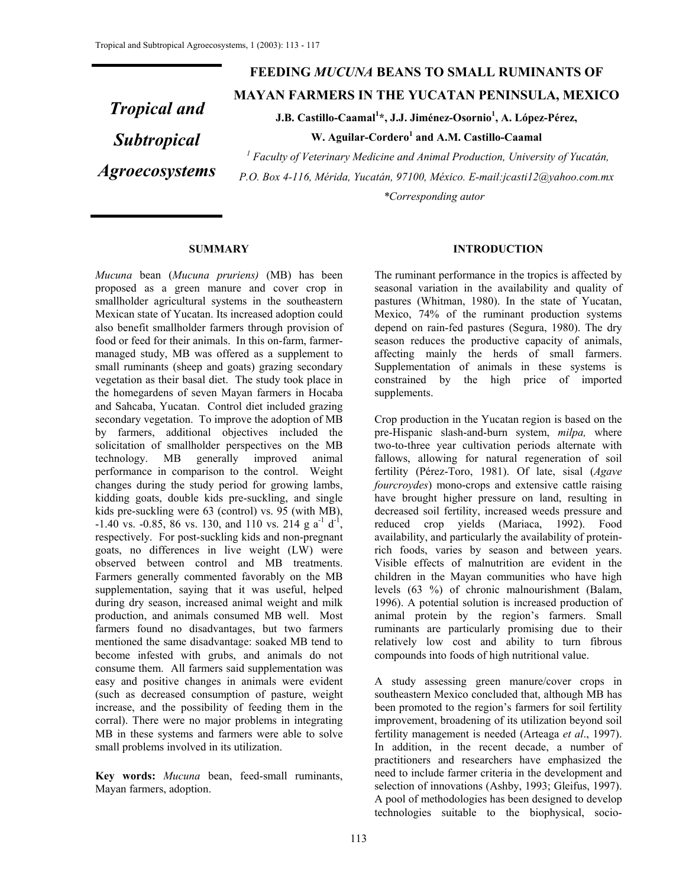# *Tropical and Subtropical Agroecosystems*

# **FEEDING** *MUCUNA* **BEANS TO SMALL RUMINANTS OF MAYAN FARMERS IN THE YUCATAN PENINSULA, MEXICO**

**J.B. Castillo-Caamal1 \*, J.J. Jiménez-Osornio<sup>1</sup> , A. López-Pérez,** 

W. Aguilar-Cordero<sup>1</sup> and A.M. Castillo-Caamal

<sup>1</sup> Faculty of Veterinary Medicine and Animal Production, University of Yucatán, *P.O. Box 4-116, Mérida, Yucatán, 97100, México. E-mail:jcasti12@yahoo.com.mx \*Corresponding autor* 

#### **SUMMARY**

*Mucuna* bean (*Mucuna pruriens)* (MB) has been proposed as a green manure and cover crop in smallholder agricultural systems in the southeastern Mexican state of Yucatan. Its increased adoption could also benefit smallholder farmers through provision of food or feed for their animals. In this on-farm, farmermanaged study, MB was offered as a supplement to small ruminants (sheep and goats) grazing secondary vegetation as their basal diet. The study took place in the homegardens of seven Mayan farmers in Hocaba and Sahcaba, Yucatan. Control diet included grazing secondary vegetation. To improve the adoption of MB by farmers, additional objectives included the solicitation of smallholder perspectives on the MB technology. MB generally improved animal performance in comparison to the control. Weight changes during the study period for growing lambs, kidding goats, double kids pre-suckling, and single kids pre-suckling were 63 (control) vs. 95 (with MB),  $-1.40$  vs.  $-0.85$ , 86 vs. 130, and 110 vs. 214 g a<sup>-1</sup> d<sup>-1</sup>, respectively. For post-suckling kids and non-pregnant goats, no differences in live weight (LW) were observed between control and MB treatments. Farmers generally commented favorably on the MB supplementation, saying that it was useful, helped during dry season, increased animal weight and milk production, and animals consumed MB well. Most farmers found no disadvantages, but two farmers mentioned the same disadvantage: soaked MB tend to become infested with grubs, and animals do not consume them. All farmers said supplementation was easy and positive changes in animals were evident (such as decreased consumption of pasture, weight increase, and the possibility of feeding them in the corral). There were no major problems in integrating MB in these systems and farmers were able to solve small problems involved in its utilization.

**Key words:** *Mucuna* bean, feed-small ruminants, Mayan farmers, adoption.

#### **INTRODUCTION**

The ruminant performance in the tropics is affected by seasonal variation in the availability and quality of pastures (Whitman, 1980). In the state of Yucatan, Mexico, 74% of the ruminant production systems depend on rain-fed pastures (Segura, 1980). The dry season reduces the productive capacity of animals, affecting mainly the herds of small farmers. Supplementation of animals in these systems is constrained by the high price of imported supplements.

Crop production in the Yucatan region is based on the pre-Hispanic slash-and-burn system, *milpa,* where two-to-three year cultivation periods alternate with fallows, allowing for natural regeneration of soil fertility (Pérez-Toro, 1981). Of late, sisal (*Agave fourcroydes*) mono-crops and extensive cattle raising have brought higher pressure on land, resulting in decreased soil fertility, increased weeds pressure and reduced crop yields (Mariaca, 1992). Food availability, and particularly the availability of proteinrich foods, varies by season and between years. Visible effects of malnutrition are evident in the children in the Mayan communities who have high levels (63 %) of chronic malnourishment (Balam, 1996). A potential solution is increased production of animal protein by the region's farmers. Small ruminants are particularly promising due to their relatively low cost and ability to turn fibrous compounds into foods of high nutritional value.

A study assessing green manure/cover crops in southeastern Mexico concluded that, although MB has been promoted to the region's farmers for soil fertility improvement, broadening of its utilization beyond soil fertility management is needed (Arteaga *et al*., 1997). In addition, in the recent decade, a number of practitioners and researchers have emphasized the need to include farmer criteria in the development and selection of innovations (Ashby, 1993; Gleifus, 1997). A pool of methodologies has been designed to develop technologies suitable to the biophysical, socio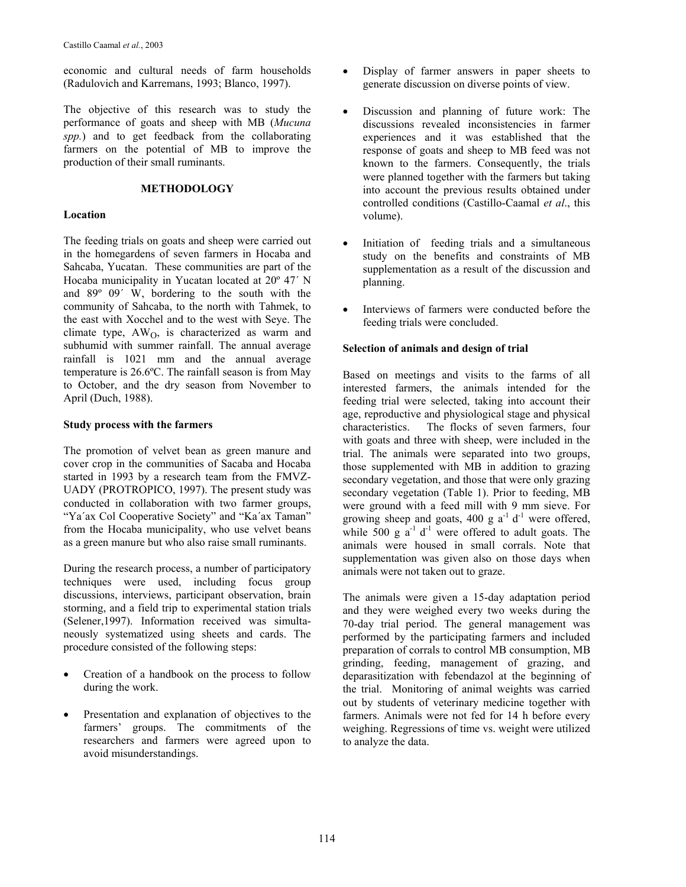economic and cultural needs of farm households (Radulovich and Karremans, 1993; Blanco, 1997).

The objective of this research was to study the performance of goats and sheep with MB (*Mucuna spp.*) and to get feedback from the collaborating farmers on the potential of MB to improve the production of their small ruminants.

#### **METHODOLOGY**

#### **Location**

The feeding trials on goats and sheep were carried out in the homegardens of seven farmers in Hocaba and Sahcaba, Yucatan.These communities are part of the Hocaba municipality in Yucatan located at 20º 47´ N and 89º 09´ W, bordering to the south with the community of Sahcaba, to the north with Tahmek, to the east with Xocchel and to the west with Seye. The climate type, AWO, is characterized as warm and subhumid with summer rainfall. The annual average rainfall is 1021 mm and the annual average temperature is 26.6ºC. The rainfall season is from May to October, and the dry season from November to April (Duch, 1988).

## **Study process with the farmers**

The promotion of velvet bean as green manure and cover crop in the communities of Sacaba and Hocaba started in 1993 by a research team from the FMVZ-UADY (PROTROPICO, 1997). The present study was conducted in collaboration with two farmer groups, "Ya'ax Col Cooperative Society" and "Ka'ax Taman" from the Hocaba municipality, who use velvet beans as a green manure but who also raise small ruminants.

During the research process, a number of participatory techniques were used, including focus group discussions, interviews, participant observation, brain storming, and a field trip to experimental station trials (Selener,1997). Information received was simultaneously systematized using sheets and cards. The procedure consisted of the following steps:

- Creation of a handbook on the process to follow during the work.
- Presentation and explanation of objectives to the farmers' groups. The commitments of the researchers and farmers were agreed upon to avoid misunderstandings.
- Display of farmer answers in paper sheets to generate discussion on diverse points of view.
- Discussion and planning of future work: The discussions revealed inconsistencies in farmer experiences and it was established that the response of goats and sheep to MB feed was not known to the farmers. Consequently, the trials were planned together with the farmers but taking into account the previous results obtained under controlled conditions (Castillo-Caamal *et al*., this volume).
- Initiation of feeding trials and a simultaneous study on the benefits and constraints of MB supplementation as a result of the discussion and planning.
- Interviews of farmers were conducted before the feeding trials were concluded.

## **Selection of animals and design of trial**

Based on meetings and visits to the farms of all interested farmers, the animals intended for the feeding trial were selected, taking into account their age, reproductive and physiological stage and physical characteristics. The flocks of seven farmers, four with goats and three with sheep, were included in the trial. The animals were separated into two groups, those supplemented with MB in addition to grazing secondary vegetation, and those that were only grazing secondary vegetation (Table 1). Prior to feeding, MB were ground with a feed mill with 9 mm sieve. For growing sheep and goats, 400 g  $a^{-1}$  d<sup>-1</sup> were offered, while 500 g  $a^{-1}$  d<sup>-1</sup> were offered to adult goats. The animals were housed in small corrals. Note that supplementation was given also on those days when animals were not taken out to graze.

The animals were given a 15-day adaptation period and they were weighed every two weeks during the 70-day trial period. The general management was performed by the participating farmers and included preparation of corrals to control MB consumption, MB grinding, feeding, management of grazing, and deparasitization with febendazol at the beginning of the trial. Monitoring of animal weights was carried out by students of veterinary medicine together with farmers. Animals were not fed for 14 h before every weighing. Regressions of time vs. weight were utilized to analyze the data.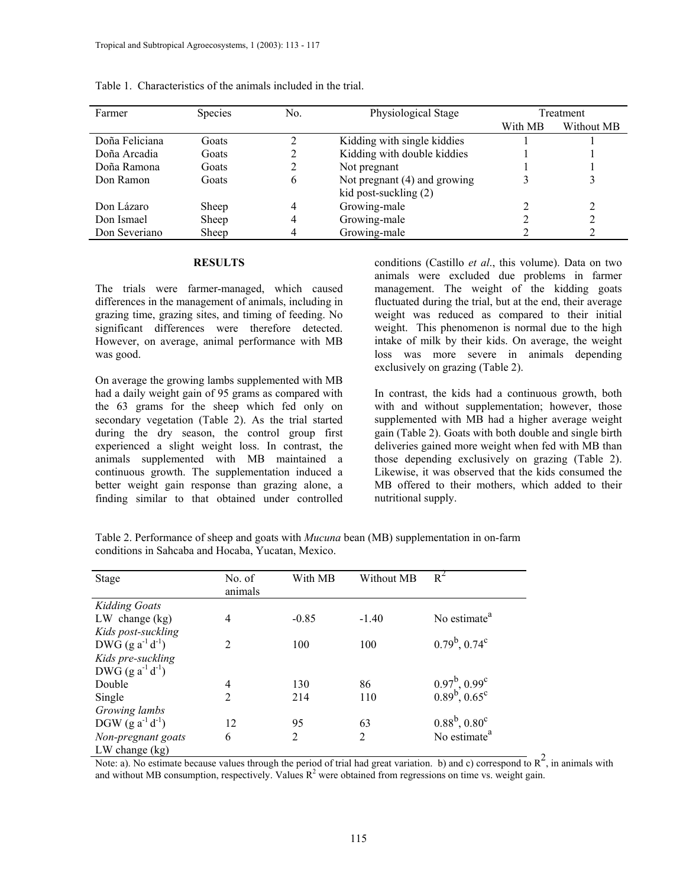| Farmer         | <b>Species</b> | No. | Physiological Stage          | Treatment |            |
|----------------|----------------|-----|------------------------------|-----------|------------|
|                |                |     |                              | With MB   | Without MB |
| Doña Feliciana | Goats          | ∍   | Kidding with single kiddies  |           |            |
| Doña Arcadia   | Goats          |     | Kidding with double kiddies  |           |            |
| Doña Ramona    | Goats          | 2   | Not pregnant                 |           |            |
| Don Ramon      | Goats          | 6   | Not pregnant (4) and growing |           |            |
|                |                |     | kid post-suckling (2)        |           |            |
| Don Lázaro     | Sheep          | 4   | Growing-male                 |           |            |
| Don Ismael     | Sheep          | 4   | Growing-male                 |           |            |
| Don Severiano  | Sheep          |     | Growing-male                 |           |            |

Table 1. Characteristics of the animals included in the trial.

#### **RESULTS**

The trials were farmer-managed, which caused differences in the management of animals, including in grazing time, grazing sites, and timing of feeding. No significant differences were therefore detected. However, on average, animal performance with MB was good.

On average the growing lambs supplemented with MB had a daily weight gain of 95 grams as compared with the 63 grams for the sheep which fed only on secondary vegetation (Table 2). As the trial started during the dry season, the control group first experienced a slight weight loss. In contrast, the animals supplemented with MB maintained a continuous growth. The supplementation induced a better weight gain response than grazing alone, a finding similar to that obtained under controlled

conditions (Castillo *et al*., this volume). Data on two animals were excluded due problems in farmer management. The weight of the kidding goats fluctuated during the trial, but at the end, their average weight was reduced as compared to their initial weight. This phenomenon is normal due to the high intake of milk by their kids. On average, the weight loss was more severe in animals depending exclusively on grazing (Table 2).

In contrast, the kids had a continuous growth, both with and without supplementation; however, those supplemented with MB had a higher average weight gain (Table 2). Goats with both double and single birth deliveries gained more weight when fed with MB than those depending exclusively on grazing (Table 2). Likewise, it was observed that the kids consumed the MB offered to their mothers, which added to their nutritional supply.

Table 2. Performance of sheep and goats with *Mucuna* bean (MB) supplementation in on-farm conditions in Sahcaba and Hocaba, Yucatan, Mexico.

| Stage                   | No. of<br>animals | With MB | Without MB | $R^2$                                      |
|-------------------------|-------------------|---------|------------|--------------------------------------------|
| <b>Kidding Goats</b>    |                   |         |            |                                            |
| $LW$ change (kg)        | 4                 | $-0.85$ | $-1.40$    | No estimate <sup>a</sup>                   |
| Kids post-suckling      |                   |         |            |                                            |
| DWG $(g a^{-1} d^{-1})$ | $\overline{2}$    | 100     | 100        | $0.79^b$ , $0.74^c$                        |
| Kids pre-suckling       |                   |         |            |                                            |
| DWG $(g a^{-1} d^{-1})$ |                   |         |            |                                            |
| Double                  | 4                 | 130     | 86         | $0.97^b$ , $0.99^c$<br>$0.89^b$ , $0.65^c$ |
| Single                  | $\overline{c}$    | 214     | 110        |                                            |
| Growing lambs           |                   |         |            |                                            |
| DGW $(g a^{-1} d^{-1})$ | 12                | 95      | 63         | $0.88^{\rm b}$ , $0.80^{\rm c}$            |
| Non-pregnant goats      | 6                 | 2       | 2          | No estimate <sup>a</sup>                   |
| $LW$ change $(kg)$      |                   |         |            |                                            |

LW change (kg)<br>Note: a). No estimate because values through the period of trial had great variation. b) and c) correspond to  $R^2$ , in animals with and without MB consumption, respectively. Values  $R^2$  were obtained from regressions on time vs. weight gain.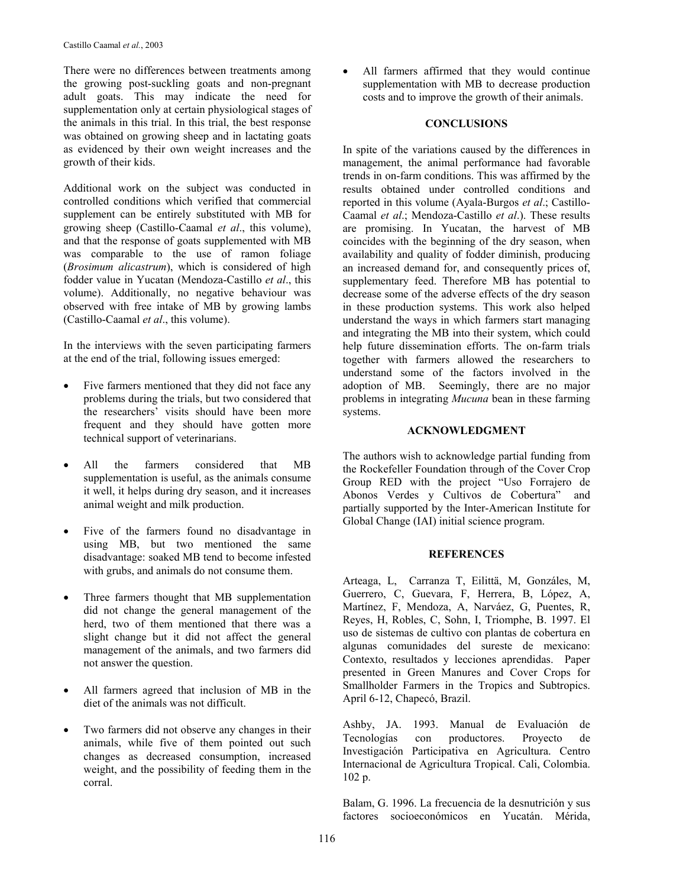There were no differences between treatments among the growing post-suckling goats and non-pregnant adult goats. This may indicate the need for supplementation only at certain physiological stages of the animals in this trial. In this trial, the best response was obtained on growing sheep and in lactating goats as evidenced by their own weight increases and the growth of their kids.

Additional work on the subject was conducted in controlled conditions which verified that commercial supplement can be entirely substituted with MB for growing sheep (Castillo-Caamal *et al*., this volume), and that the response of goats supplemented with MB was comparable to the use of ramon foliage (*Brosimum alicastrum*), which is considered of high fodder value in Yucatan (Mendoza-Castillo *et al*., this volume). Additionally, no negative behaviour was observed with free intake of MB by growing lambs (Castillo-Caamal *et al*., this volume).

In the interviews with the seven participating farmers at the end of the trial, following issues emerged:

- Five farmers mentioned that they did not face any problems during the trials, but two considered that the researchers' visits should have been more frequent and they should have gotten more technical support of veterinarians.
- All the farmers considered that MB supplementation is useful, as the animals consume it well, it helps during dry season, and it increases animal weight and milk production.
- Five of the farmers found no disadvantage in using MB, but two mentioned the same disadvantage: soaked MB tend to become infested with grubs, and animals do not consume them.
- Three farmers thought that MB supplementation did not change the general management of the herd, two of them mentioned that there was a slight change but it did not affect the general management of the animals, and two farmers did not answer the question.
- All farmers agreed that inclusion of MB in the diet of the animals was not difficult.
- Two farmers did not observe any changes in their animals, while five of them pointed out such changes as decreased consumption, increased weight, and the possibility of feeding them in the corral.

• All farmers affirmed that they would continue supplementation with MB to decrease production costs and to improve the growth of their animals.

#### **CONCLUSIONS**

In spite of the variations caused by the differences in management, the animal performance had favorable trends in on-farm conditions. This was affirmed by the results obtained under controlled conditions and reported in this volume (Ayala-Burgos *et al*.; Castillo-Caamal *et al*.; Mendoza-Castillo *et al*.). These results are promising. In Yucatan, the harvest of MB coincides with the beginning of the dry season, when availability and quality of fodder diminish, producing an increased demand for, and consequently prices of, supplementary feed. Therefore MB has potential to decrease some of the adverse effects of the dry season in these production systems. This work also helped understand the ways in which farmers start managing and integrating the MB into their system, which could help future dissemination efforts. The on-farm trials together with farmers allowed the researchers to understand some of the factors involved in the adoption of MB. Seemingly, there are no major problems in integrating *Mucuna* bean in these farming systems.

#### **ACKNOWLEDGMENT**

The authors wish to acknowledge partial funding from the Rockefeller Foundation through of the Cover Crop Group RED with the project "Uso Forrajero de Abonos Verdes y Cultivos de Cobertura" and partially supported by the Inter-American Institute for Global Change (IAI) initial science program.

## **REFERENCES**

Arteaga, L, Carranza T, Eilittä, M, Gonzáles, M, Guerrero, C, Guevara, F, Herrera, B, López, A, Martínez, F, Mendoza, A, Narváez, G, Puentes, R, Reyes, H, Robles, C, Sohn, I, Triomphe, B. 1997. El uso de sistemas de cultivo con plantas de cobertura en algunas comunidades del sureste de mexicano: Contexto, resultados y lecciones aprendidas. Paper presented in Green Manures and Cover Crops for Smallholder Farmers in the Tropics and Subtropics. April 6-12, Chapecó, Brazil.

Ashby, JA. 1993. Manual de Evaluación de Tecnologías con productores. Proyecto de Investigación Participativa en Agricultura. Centro Internacional de Agricultura Tropical. Cali, Colombia. 102 p.

Balam, G. 1996. La frecuencia de la desnutrición y sus factores socioeconómicos en Yucatán. Mérida,